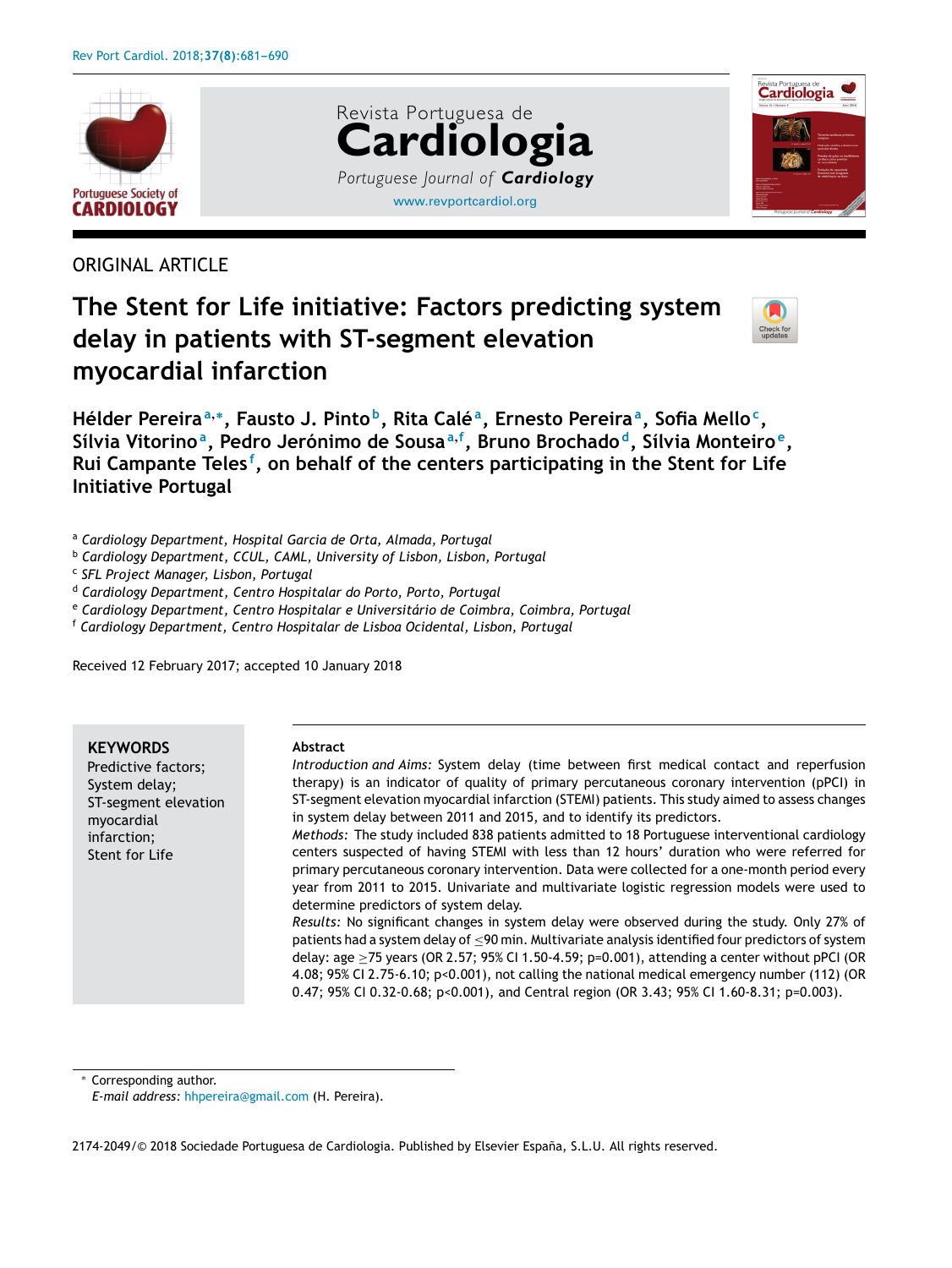

## ORIGINAL ARTICLE

# **The Stent for Life initiative: Factors predicting system delay in patients with ST-segment elevation myocardial infarction**



Cardiologia

Hélder Pereira<sup>a,</sup>\*, Fausto J. Pinto<sup>b</sup>, Rita Caléª, Ernesto Pereiraª, Sofia Mello<sup>c</sup>, **Sílvia Vitorino<sup>a</sup> , Pedro Jerónimo de Sousa<sup>a</sup>**,**<sup>f</sup> , Bruno Brochado <sup>d</sup> , Sílvia Monteiro <sup>e</sup> , Rui Campante Teles <sup>f</sup> , on behalf of the centers participating in the Stent for Life Initiative Portugal**

www.revportcardiol.org

*Portuguese Journal of Cardiology*

**Cardiologia**

Revista Portuguesa de

<sup>a</sup> *Cardiology Department, Hospital Garcia de Orta, Almada, Portugal*

<sup>b</sup> *Cardiology Department, CCUL, CAML, University of Lisbon, Lisbon, Portugal*

c *SFL Project Manager, Lisbon, Portugal*

<sup>d</sup> *Cardiology Department, Centro Hospitalar do Porto, Porto, Portugal*

<sup>e</sup> *Cardiology Department, Centro Hospitalar e Universitário de Coimbra, Coimbra, Portugal*

<sup>f</sup> *Cardiology Department, Centro Hospitalar de Lisboa Ocidental, Lisbon, Portugal*

Received 12 February 2017; accepted 10 January 2018

**KEYWORDS** Predictive factors; System delay; ST-segment elevation myocardial infarction; Stent for Life

## **Abstract**

*Introduction and Aims:* System delay (time between first medical contact and reperfusion therapy) is an indicator of quality of primary percutaneous coronary intervention (pPCI) in ST-segment elevation myocardial infarction (STEMI) patients. This study aimed to assess changes in system delay between 2011 and 2015, and to identify its predictors. *Methods:* The study included 838 patients admitted to 18 Portuguese interventional cardiology

centers suspected of having STEMI with less than 12 hours' duration who were referred for primary percutaneous coronary intervention. Data were collected for a one-month period every year from 2011 to 2015. Univariate and multivariate logistic regression models were used to determine predictors of system delay.

*Results:* No significant changes in system delay were observed during the study. Only 27% of patients had a system delay of ≤90 min. Multivariate analysis identified four predictors of system delay: age ≥75 years (OR 2.57; 95% CI 1.50-4.59; p=0.001), attending a center without pPCI (OR 4.08; 95% CI 2.75-6.10; p<0.001), not calling the national medical emergency number (112) (OR 0.47; 95% CI 0.32-0.68; p<0.001), and Central region (OR 3.43; 95% CI 1.60-8.31; p=0.003).

Corresponding author.

*E-mail address:* hhpereira@gmail.com (H. Pereira).

<sup>2174-2049/© 2018</sup> Sociedade Portuguesa de Cardiologia. Published by Elsevier España, S.L.U. All rights reserved.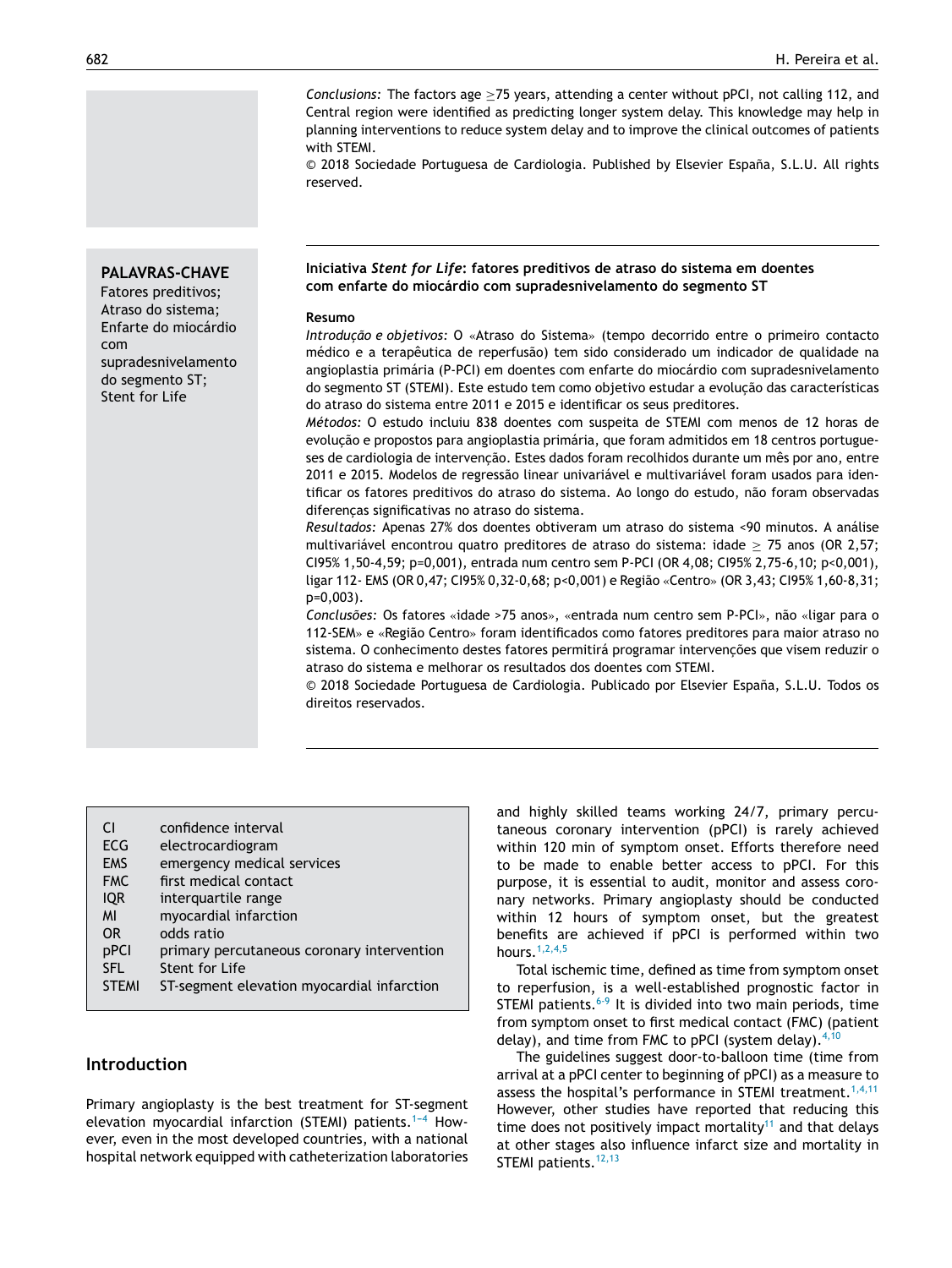*Conclusions:* The factors age ≥75 years, attending a center without pPCI, not calling 112, and Central region were identified as predicting longer system delay. This knowledge may help in planning interventions to reduce system delay and to improve the clinical outcomes of patients with STEMI.

© 2018 Sociedade Portuguesa de Cardiologia. Published by Elsevier España, S.L.U. All rights reserved.

## **PALAVRAS-CHAVE**

Fatores preditivos; Atraso do sistema; Enfarte do miocárdio com supradesnivelamento do segmento ST; Stent for Life

#### **Iniciativa** *Stent for Life***: fatores preditivos de atraso do sistema em doentes com enfarte do miocárdio com supradesnivelamento do segmento ST**

#### **Resumo**

*Introduc¸ão e objetivos:* O «Atraso do Sistema» (tempo decorrido entre o primeiro contacto médico e a terapêutica de reperfusão) tem sido considerado um indicador de qualidade na angioplastia primária (P-PCI) em doentes com enfarte do miocárdio com supradesnivelamento do segmento ST (STEMI). Este estudo tem como objetivo estudar a evolução das características do atraso do sistema entre 2011 e 2015 e identificar os seus preditores.

*Métodos:* O estudo incluiu 838 doentes com suspeita de STEMI com menos de 12 horas de evolução e propostos para angioplastia primária, que foram admitidos em 18 centros portugueses de cardiologia de intervenção. Estes dados foram recolhidos durante um mês por ano, entre 2011 e 2015. Modelos de regressão linear univariável e multivariável foram usados para identificar os fatores preditivos do atraso do sistema. Ao longo do estudo, não foram observadas diferencas significativas no atraso do sistema.

*Resultados:* Apenas 27% dos doentes obtiveram um atraso do sistema <90 minutos. A análise multivariável encontrou quatro preditores de atraso do sistema: idade  $>$  75 anos (OR 2,57; CI95% 1,50-4,59; p=0,001), entrada num centro sem P-PCI (OR 4,08; CI95% 2,75-6,10; p<0,001), ligar 112- EMS (OR 0,47; CI95% 0,32-0,68; p<0,001) e Região «Centro» (OR 3,43; CI95% 1,60-8,31; p=0,003).

*Conclusões:* Os fatores «idade >75 anos», «entrada num centro sem P-PCI», não «ligar para o 112-SEM» e «Região Centro» foram identificados como fatores preditores para maior atraso no sistema. O conhecimento destes fatores permitirá programar intervencões que visem reduzir o atraso do sistema e melhorar os resultados dos doentes com STEMI.

© 2018 Sociedade Portuguesa de Cardiologia. Publicado por Elsevier España, S.L.U. Todos os direitos reservados.

|                | confidence interval                        |
|----------------|--------------------------------------------|
| <b>ECG</b>     | electrocardiogram                          |
| <b>EMS</b>     | emergency medical services                 |
| <b>FMC</b>     | first medical contact                      |
| <b>IQR</b>     | interguartile range                        |
| MI             | myocardial infarction                      |
| 0 <sub>R</sub> | odds ratio                                 |
| pPCI           | primary percutaneous coronary intervention |
| <b>SFL</b>     | Stent for Life                             |
| <b>STEMI</b>   | ST-segment elevation myocardial infarction |
|                |                                            |

## **Introduction**

Primary angioplasty is the best treatment for ST-segment elevation myocardial infarction (STEMI) patients.<sup>1-4</sup> However, even in the most developed countries, with a national hospital network equipped with catheterization laboratories and highly skilled teams working 24/7, primary percutaneous coronary intervention (pPCI) is rarely achieved within 120 min of symptom onset. Efforts therefore need to be made to enable better access to pPCI. For this purpose, it is essential to audit, monitor and assess coronary networks. Primary angioplasty should be conducted within 12 hours of symptom onset, but the greatest benefits are achieved if pPCI is performed within two hours.<sup>1,2,4,5</sup>

Total ischemic time, defined as time from symptom onset to reperfusion, is a well-established prognostic factor in STEMI patients. $6-9$  It is divided into two main periods, time from symptom onset to first medical contact (FMC) (patient delay), and time from FMC to pPCI (system delay).  $4,10$ 

The guidelines suggest door-to-balloon time (time from arrival at a pPCI center to beginning of pPCI) as a measure to assess the hospital's performance in STEMI treatment.<sup>1,4,11</sup> However, other studies have reported that reducing this time does not positively impact mortality<sup>11</sup> and that delays at other stages also influence infarct size and mortality in STEMI patients.<sup>12,13</sup>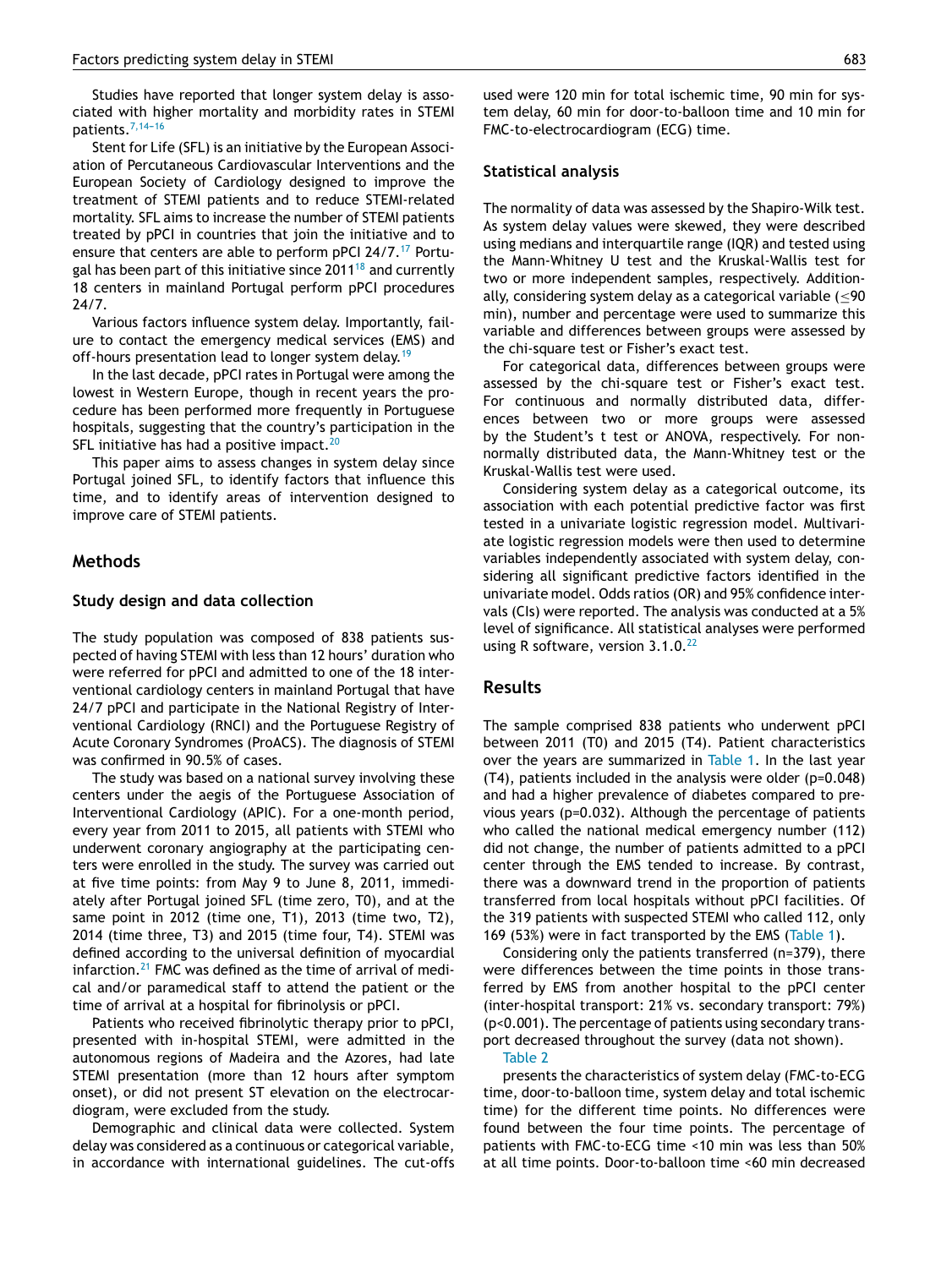Studies have reported that longer system delay is associated with higher mortality and morbidity rates in STEMI patients. $7,14-16$ 

Stent for Life (SFL) is an initiative by the European Association of Percutaneous Cardiovascular Interventions and the European Society of Cardiology designed to improve the treatment of STEMI patients and to reduce STEMI-related mortality. SFL aims to increase the number of STEMI patients treated by pPCI in countries that join the initiative and to ensure that centers are able to perform pPCI 24/7.<sup>17</sup> Portugal has been part of this initiative since 2011<sup>18</sup> and currently 18 centers in mainland Portugal perform pPCI procedures 24/7.

Various factors influence system delay. Importantly, failure to contact the emergency medical services (EMS) and off-hours presentation lead to longer system delay.<sup>19</sup>

In the last decade, pPCI rates in Portugal were among the lowest in Western Europe, though in recent years the procedure has been performed more frequently in Portuguese hospitals, suggesting that the country's participation in the SFL initiative has had a positive impact.<sup>20</sup>

This paper aims to assess changes in system delay since Portugal joined SFL, to identify factors that influence this time, and to identify areas of intervention designed to improve care of STEMI patients.

#### **Methods**

#### **Study design and data collection**

The study population was composed of 838 patients suspected of having STEMI with less than 12 hours' duration who were referred for pPCI and admitted to one of the 18 interventional cardiology centers in mainland Portugal that have 24/7 pPCI and participate in the National Registry of Interventional Cardiology (RNCI) and the Portuguese Registry of Acute Coronary Syndromes (ProACS). The diagnosis of STEMI was confirmed in 90.5% of cases.

The study was based on a national survey involving these centers under the aegis of the Portuguese Association of Interventional Cardiology (APIC). For a one-month period, every year from 2011 to 2015, all patients with STEMI who underwent coronary angiography at the participating centers were enrolled in the study. The survey was carried out at five time points: from May 9 to June 8, 2011, immediately after Portugal joined SFL (time zero, T0), and at the same point in 2012 (time one, T1), 2013 (time two, T2), 2014 (time three, T3) and 2015 (time four, T4). STEMI was defined according to the universal definition of myocardial infarction. $21$  FMC was defined as the time of arrival of medical and/or paramedical staff to attend the patient or the time of arrival at a hospital for fibrinolysis or pPCI.

Patients who received fibrinolytic therapy prior to pPCI, presented with in-hospital STEMI, were admitted in the autonomous regions of Madeira and the Azores, had late STEMI presentation (more than 12 hours after symptom onset), or did not present ST elevation on the electrocardiogram, were excluded from the study.

Demographic and clinical data were collected. System delay was considered as a continuous or categorical variable, in accordance with international guidelines. The cut-offs used were 120 min for total ischemic time, 90 min for system delay, 60 min for door-to-balloon time and 10 min for FMC-to-electrocardiogram (ECG) time.

#### **Statistical analysis**

The normality of data was assessed by the Shapiro-Wilk test. As system delay values were skewed, they were described using medians and interquartile range (IQR) and tested using the Mann-Whitney U test and the Kruskal-Wallis test for two or more independent samples, respectively. Additionally, considering system delay as a categorical variable (≤90 min), number and percentage were used to summarize this variable and differences between groups were assessed by the chi-square test or Fisher's exact test.

For categorical data, differences between groups were assessed by the chi-square test or Fisher's exact test. For continuous and normally distributed data, differences between two or more groups were assessed by the Student's t test or ANOVA, respectively. For nonnormally distributed data, the Mann-Whitney test or the Kruskal-Wallis test were used.

Considering system delay as a categorical outcome, its association with each potential predictive factor was first tested in a univariate logistic regression model. Multivariate logistic regression models were then used to determine variables independently associated with system delay, considering all significant predictive factors identified in the univariate model. Odds ratios (OR) and 95% confidence intervals (CIs) were reported. The analysis was conducted at a 5% level of significance. All statistical analyses were performed using R software, version  $3.1.0<sup>22</sup>$ 

## **Results**

The sample comprised 838 patients who underwent pPCI between 2011 (T0) and 2015 (T4). Patient characteristics over the years are summarized in Table 1. In the last year (T4), patients included in the analysis were older (p=0.048) and had a higher prevalence of diabetes compared to previous years (p=0.032). Although the percentage of patients who called the national medical emergency number (112) did not change, the number of patients admitted to a pPCI center through the EMS tended to increase. By contrast, there was a downward trend in the proportion of patients transferred from local hospitals without pPCI facilities. Of the 319 patients with suspected STEMI who called 112, only 169 (53%) were in fact transported by the EMS (Table 1).

Considering only the patients transferred (n=379), there were differences between the time points in those transferred by EMS from another hospital to the pPCI center (inter-hospital transport: 21% vs. secondary transport: 79%) (p<0.001). The percentage of patients using secondary transport decreased throughout the survey (data not shown).

Table 2

presents the characteristics of system delay (FMC-to-ECG time, door-to-balloon time, system delay and total ischemic time) for the different time points. No differences were found between the four time points. The percentage of patients with FMC-to-ECG time <10 min was less than 50% at all time points. Door-to-balloon time <60 min decreased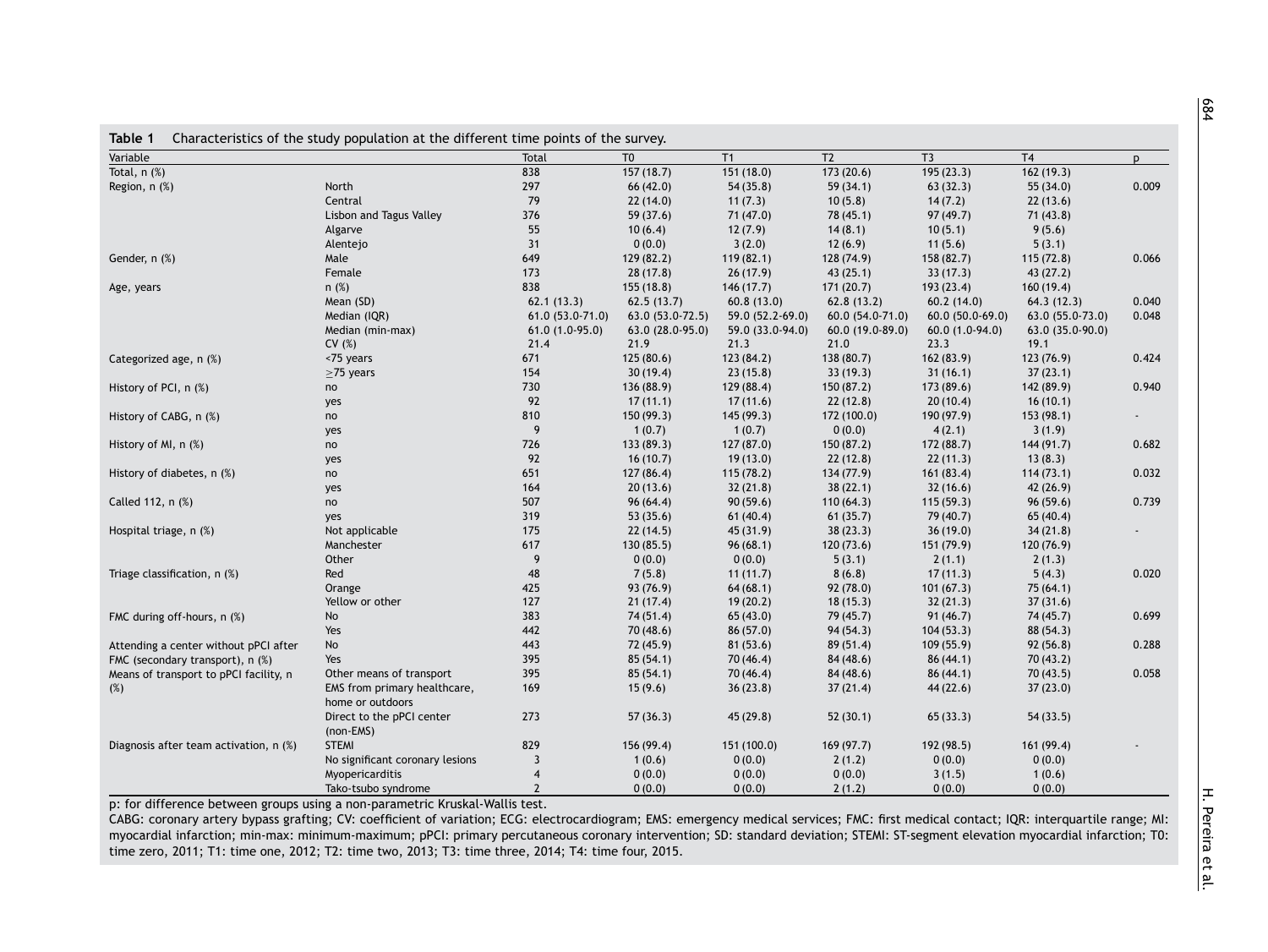| Variable                               |                                 | Total                   | T <sub>0</sub>   | T1               | T <sub>2</sub>    | T3                | T <sub>4</sub>   | <b>p</b> |
|----------------------------------------|---------------------------------|-------------------------|------------------|------------------|-------------------|-------------------|------------------|----------|
| Total, $n$ $%$                         |                                 | 838                     | 157(18.7)        | 151 (18.0)       | 173 (20.6)        | 195(23.3)         | 162(19.3)        |          |
| Region, n (%)                          | North                           | 297                     | 66(42.0)         | 54(35.8)         | 59(34.1)          | 63(32.3)          | 55(34.0)         | 0.009    |
|                                        | Central                         | 79                      | 22(14.0)         | 11(7.3)          | 10(5.8)           | 14(7.2)           | 22(13.6)         |          |
|                                        | Lisbon and Tagus Valley         | 376                     | 59(37.6)         | 71 (47.0)        | 78 (45.1)         | 97 (49.7)         | 71(43.8)         |          |
|                                        | Algarve                         | 55                      | 10(6.4)          | 12(7.9)          | 14(8.1)           | 10(5.1)           | 9(5.6)           |          |
|                                        | Alentejo                        | 31                      | 0(0.0)           | 3(2.0)           | 12(6.9)           | 11(5.6)           | 5(3.1)           |          |
| Gender, n (%)                          | Male                            | 649                     | 129 (82.2)       | 119(82.1)        | 128 (74.9)        | 158 (82.7)        | 115(72.8)        | 0.066    |
|                                        | Female                          | 173                     | 28(17.8)         | 26(17.9)         | 43(25.1)          | 33(17.3)          | 43(27.2)         |          |
| Age, years                             | n(%)                            | 838                     | 155(18.8)        | 146(17.7)        | 171(20.7)         | 193 (23.4)        | 160(19.4)        |          |
|                                        | Mean (SD)                       | 62.1(13.3)              | 62.5(13.7)       | 60.8(13.0)       | 62.8(13.2)        | 60.2(14.0)        | 64.3(12.3)       | 0.040    |
|                                        | Median (IQR)                    | 61.0 (53.0-71.0)        | 63.0 (53.0-72.5) | 59.0 (52.2-69.0) | 60.0 (54.0-71.0)  | $60.0(50.0-69.0)$ | 63.0 (55.0-73.0) | 0.048    |
|                                        | Median (min-max)                | $61.0(1.0-95.0)$        | 63.0 (28.0-95.0) | 59.0 (33.0-94.0) | $60.0(19.0-89.0)$ | $60.0(1.0-94.0)$  | 63.0 (35.0-90.0) |          |
|                                        | CV(%)                           | 21.4                    | 21.9             | 21.3             | 21.0              | 23.3              | 19.1             |          |
| Categorized age, n (%)                 | <75 years                       | 671                     | 125(80.6)        | 123 (84.2)       | 138 (80.7)        | 162 (83.9)        | 123(76.9)        | 0.424    |
|                                        | $\geq$ 75 years                 | 154                     | 30(19.4)         | 23(15.8)         | 33(19.3)          | 31(16.1)          | 37(23.1)         |          |
| History of PCI, n (%)                  | no                              | 730                     | 136 (88.9)       | 129 (88.4)       | 150 (87.2)        | 173 (89.6)        | 142 (89.9)       | 0.940    |
|                                        | yes                             | 92                      | 17(11.1)         | 17(11.6)         | 22(12.8)          | 20(10.4)          | 16(10.1)         |          |
| History of CABG, n (%)                 | no                              | 810                     | 150 (99.3)       | 145(99.3)        | 172 (100.0)       | 190 (97.9)        | 153(98.1)        |          |
|                                        | yes                             | 9                       | 1(0.7)           | 1(0.7)           | 0(0.0)            | 4(2.1)            | 3(1.9)           |          |
| History of MI, n (%)                   | no                              | 726                     | 133 (89.3)       | 127 (87.0)       | 150 (87.2)        | 172 (88.7)        | 144 (91.7)       | 0.682    |
|                                        | yes                             | 92                      | 16(10.7)         | 19(13.0)         | 22(12.8)          | 22(11.3)          | 13(8.3)          |          |
| History of diabetes, n (%)             | no                              | 651                     | 127(86.4)        | 115(78.2)        | 134(77.9)         | 161(83.4)         | 114(73.1)        | 0.032    |
|                                        | yes                             | 164                     | 20(13.6)         | 32(21.8)         | 38(22.1)          | 32(16.6)          | 42(26.9)         |          |
| Called 112, n (%)                      | no                              | 507                     | 96(64.4)         | 90(59.6)         | 110(64.3)         | 115(59.3)         | 96(59.6)         | 0.739    |
|                                        | yes                             | 319                     | 53(35.6)         | 61(40.4)         | 61(35.7)          | 79 (40.7)         | 65(40.4)         |          |
| Hospital triage, n (%)                 | Not applicable                  | 175                     | 22(14.5)         | 45 (31.9)        | 38(23.3)          | 36(19.0)          | 34(21.8)         |          |
|                                        | Manchester                      | 617                     | 130(85.5)        | 96(68.1)         | 120(73.6)         | 151 (79.9)        | 120 (76.9)       |          |
|                                        | Other                           | 9                       | 0(0.0)           | 0(0.0)           | 5(3.1)            | 2(1.1)            | 2(1.3)           |          |
| Triage classification, n (%)           | Red                             | 48                      | 7(5.8)           | 11(11.7)         | 8(6.8)            | 17(11.3)          | 5(4.3)           | 0.020    |
|                                        | Orange                          | 425                     | 93 (76.9)        | 64(68.1)         | 92 (78.0)         | 101(67.3)         | 75(64.1)         |          |
|                                        | Yellow or other                 | 127                     | 21(17.4)         | 19(20.2)         | 18(15.3)          | 32(21.3)          | 37(31.6)         |          |
| FMC during off-hours, n (%)            | No                              | 383                     | 74 (51.4)        | 65(43.0)         | 79(45.7)          | 91(46.7)          | 74(45.7)         | 0.699    |
|                                        | Yes                             | 442                     | 70(48.6)         | 86 (57.0)        | 94(54.3)          | 104(53.3)         | 88 (54.3)        |          |
| Attending a center without pPCI after  | No                              | 443                     | 72(45.9)         | 81(53.6)         | 89(51.4)          | 109(55.9)         | 92(56.8)         | 0.288    |
| FMC (secondary transport), n (%)       | Yes                             | 395                     | 85(54.1)         | 70(46.4)         | 84 (48.6)         | 86(44.1)          | 70(43.2)         |          |
| Means of transport to pPCI facility, n | Other means of transport        | 395                     | 85(54.1)         | 70(46.4)         | 84 (48.6)         | 86(44.1)          | 70(43.5)         | 0.058    |
| (%)                                    | EMS from primary healthcare,    | 169                     | 15(9.6)          | 36(23.8)         | 37(21.4)          | 44(22.6)          | 37(23.0)         |          |
|                                        | home or outdoors                |                         |                  |                  |                   |                   |                  |          |
|                                        | Direct to the pPCI center       | 273                     | 57(36.3)         | 45(29.8)         | 52(30.1)          | 65(33.3)          | 54(33.5)         |          |
|                                        | (non-EMS)                       |                         |                  |                  |                   |                   |                  |          |
| Diagnosis after team activation, n (%) | <b>STEMI</b>                    | 829                     | 156 (99.4)       | 151 (100.0)      | 169 (97.7)        | 192 (98.5)        | 161 (99.4)       |          |
|                                        | No significant coronary lesions | $\mathbf{3}$            | 1(0.6)           | 0(0.0)           | 2(1.2)            | 0(0.0)            | 0(0.0)           |          |
|                                        | Myopericarditis                 | $\overline{\mathbf{4}}$ | 0(0.0)           | 0(0.0)           | 0(0.0)            | 3(1.5)            | 1(0.6)           |          |
|                                        | Tako-tsubo syndrome             | $\overline{2}$          | 0(0.0)           | 0(0.0)           | 2(1.2)            | 0(0.0)            | 0(0.0)           |          |
|                                        |                                 |                         |                  |                  |                   |                   |                  |          |

p: for difference between groups using a non-parametric Kruskal-Wallis test.

CABG: coronary artery bypass grafting; CV: coefficient of variation; ECG: electrocardiogram; EMS: emergency medical services; FMC: first medical contact; IQR: interquartile range; MI: myocardial infarction; min-max: minimum-maximum; pPCI: primary percutaneous coronary intervention; SD: standard deviation; STEMI: ST-segment elevation myocardial infarction; T0: time zero, 2011; T1: time one, 2012; T2: time two, 2013; T3: time three, 2014; T4: time four, 2015.

684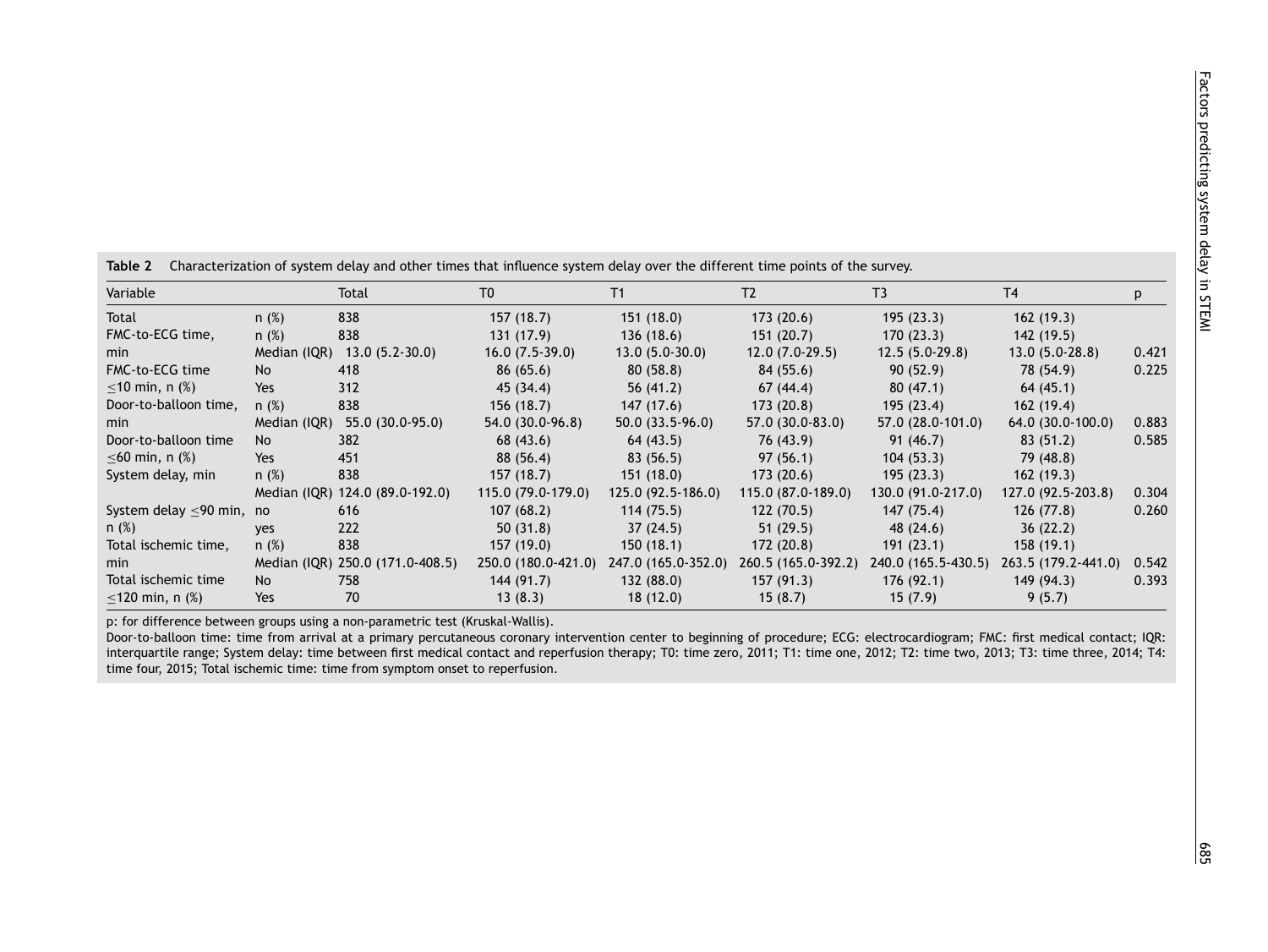| Table 2 Characterization of system actay and other times that imidence system actay over the unferent time points of the survey.<br>Variable |              | Total                            | T <sub>0</sub>      | T <sub>1</sub>      | T <sub>2</sub>      | T <sub>3</sub>      | T <sub>4</sub>      |       |
|----------------------------------------------------------------------------------------------------------------------------------------------|--------------|----------------------------------|---------------------|---------------------|---------------------|---------------------|---------------------|-------|
| Total                                                                                                                                        | n(%)         | 838                              | 157(18.7)           | 151(18.0)           | 173(20.6)           | 195(23.3)           | 162(19.3)           |       |
| FMC-to-ECG time,                                                                                                                             | n(%)         | 838                              | 131 (17.9)          | 136(18.6)           | 151(20.7)           | 170(23.3)           | 142(19.5)           |       |
| min                                                                                                                                          | Median (IQR) | $13.0(5.2-30.0)$                 | $16.0(7.5-39.0)$    | $13.0(5.0-30.0)$    | $12.0(7.0-29.5)$    | $12.5(5.0-29.8)$    | $13.0(5.0-28.8)$    | 0.421 |
| FMC-to-ECG time                                                                                                                              | No           | 418                              | 86(65.6)            | 80(58.8)            | 84 (55.6)           | 90(52.9)            | 78 (54.9)           | 0.225 |
| $<$ 10 min, n $(\%)$                                                                                                                         | Yes          | 312                              | 45 (34.4)           | 56(41.2)            | 67(44.4)            | 80(47.1)            | 64(45.1)            |       |
| Door-to-balloon time,                                                                                                                        | n(%)         | 838                              | 156(18.7)           | 147(17.6)           | 173(20.8)           | 195(23.4)           | 162(19.4)           |       |
| min                                                                                                                                          | Median (IQR) | 55.0 (30.0-95.0)                 | 54.0 (30.0-96.8)    | $50.0(33.5-96.0)$   | $57.0(30.0-83.0)$   | $57.0(28.0-101.0)$  | 64.0 (30.0-100.0)   | 0.883 |
| Door-to-balloon time                                                                                                                         | No.          | 382                              | 68 (43.6)           | 64(43.5)            | 76 (43.9)           | 91(46.7)            | 83(51.2)            | 0.585 |
| $<$ 60 min, n $(\%)$                                                                                                                         | Yes          | 451                              | 88 (56.4)           | 83(56.5)            | 97(56.1)            | 104(53.3)           | 79 (48.8)           |       |
| System delay, min                                                                                                                            | n(%)         | 838                              | 157(18.7)           | 151(18.0)           | 173 (20.6)          | 195(23.3)           | 162(19.3)           |       |
|                                                                                                                                              |              | Median (IQR) 124.0 (89.0-192.0)  | 115.0 (79.0-179.0)  | 125.0 (92.5-186.0)  | 115.0 (87.0-189.0)  | 130.0 (91.0-217.0)  | 127.0 (92.5-203.8)  | 0.304 |
| System delay $\leq 90$ min, no                                                                                                               |              | 616                              | 107(68.2)           | 114(75.5)           | 122(70.5)           | 147(75.4)           | 126 (77.8)          | 0.260 |
| n(%)                                                                                                                                         | <b>ves</b>   | 222                              | 50(31.8)            | 37(24.5)            | 51(29.5)            | 48 (24.6)           | 36(22.2)            |       |
| Total ischemic time,                                                                                                                         | n(%)         | 838                              | 157 (19.0)          | 150(18.1)           | 172 (20.8)          | 191(23.1)           | 158(19.1)           |       |
| min                                                                                                                                          |              | Median (IQR) 250.0 (171.0-408.5) | 250.0 (180.0-421.0) | 247.0 (165.0-352.0) | 260.5 (165.0-392.2) | 240.0 (165.5-430.5) | 263.5 (179.2-441.0) | 0.542 |
| Total ischemic time                                                                                                                          | No.          | 758                              | 144 (91.7)          | 132(88.0)           | 157(91.3)           | 176(92.1)           | 149(94.3)           | 0.393 |
| $\leq$ 120 min, n (%)                                                                                                                        | Yes          | 70                               | 13(8.3)             | 18(12.0)            | 15(8.7)             | 15(7.9)             | 9(5.7)              |       |

**Table 2** Characterization of system delay and other times that influence system delay over the different time points of the survey.

p: for difference between groups using a non-parametric test (Kruskal-Wallis).

Door-to-balloon time: time from arrival at a primary percutaneous coronary intervention center to beginning of procedure; ECG: electrocardiogram; FMC: first medical contact; IQR: interquartile range; System delay: time between first medical contact and reperfusion therapy; T0: time zero, 2011; T1: time one, 2012; T2: time two, 2013; T3: time three, 2014; T4: time four, 2015; Total ischemic time: time from symptom onset to reperfusion.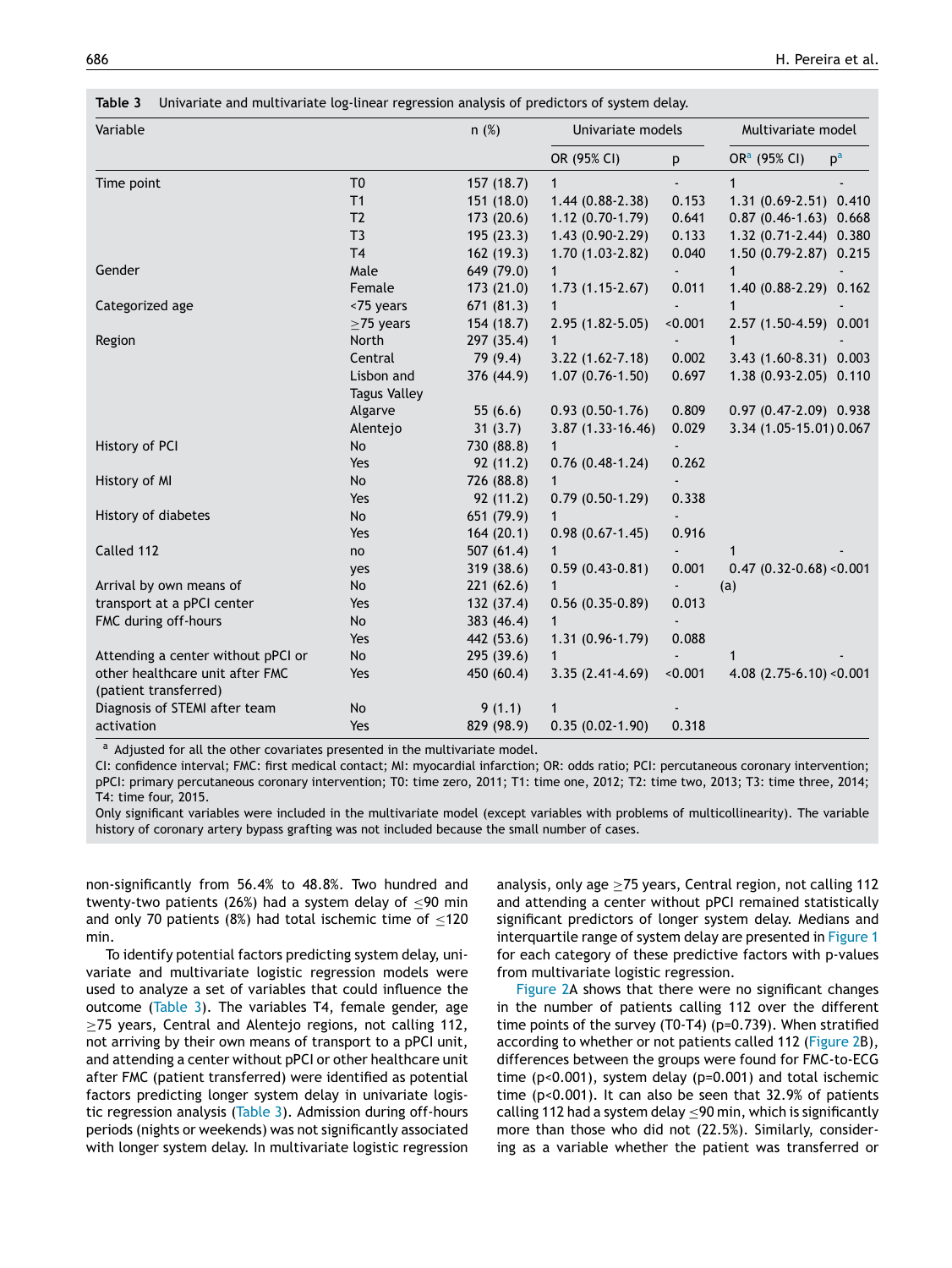| Variable                           |                     | Univariate models<br>n(%) |                      |         |                            | Multivariate model |  |
|------------------------------------|---------------------|---------------------------|----------------------|---------|----------------------------|--------------------|--|
|                                    |                     |                           | OR (95% CI)          | p       | OR <sup>a</sup> (95% CI)   | $p^a$              |  |
| Time point                         | T <sub>0</sub>      | 157 (18.7)                | $\mathbf{1}$         |         | $\mathbf{1}$               |                    |  |
|                                    | T1                  | 151 (18.0)                | $1.44(0.88-2.38)$    | 0.153   | 1.31 (0.69-2.51) 0.410     |                    |  |
|                                    | T <sub>2</sub>      | 173 (20.6)                | $1.12(0.70-1.79)$    | 0.641   | $0.87(0.46-1.63)0.668$     |                    |  |
|                                    | T <sub>3</sub>      | 195(23.3)                 | $1.43(0.90-2.29)$    | 0.133   | 1.32 (0.71-2.44) 0.380     |                    |  |
|                                    | T <sub>4</sub>      | 162(19.3)                 | $1.70(1.03-2.82)$    | 0.040   | 1.50 (0.79-2.87) 0.215     |                    |  |
| Gender                             | Male                | 649 (79.0)                | $\mathbf{1}$         |         |                            |                    |  |
|                                    | Female              | 173(21.0)                 | $1.73(1.15-2.67)$    | 0.011   | 1.40 (0.88-2.29) 0.162     |                    |  |
| Categorized age                    | <75 years           | 671(81.3)                 | $\mathbf{1}$         |         |                            |                    |  |
|                                    | $\geq$ 75 years     | 154 (18.7)                | $2.95(1.82 - 5.05)$  | < 0.001 | 2.57 (1.50-4.59) 0.001     |                    |  |
| Region                             | North               | 297 (35.4)                | $\mathbf{1}$         |         |                            |                    |  |
|                                    | Central             | 79 (9.4)                  | $3.22(1.62 - 7.18)$  | 0.002   | 3.43 (1.60-8.31) 0.003     |                    |  |
|                                    | Lisbon and          | 376 (44.9)                | $1.07(0.76-1.50)$    | 0.697   | 1.38 (0.93-2.05) 0.110     |                    |  |
|                                    | <b>Tagus Valley</b> |                           |                      |         |                            |                    |  |
|                                    | Algarve             | 55 $(6.6)$                | $0.93(0.50-1.76)$    | 0.809   | $0.97(0.47-2.09)0.938$     |                    |  |
|                                    | Alentejo            | 31(3.7)                   | $3.87(1.33-16.46)$   | 0.029   | 3.34 (1.05-15.01) 0.067    |                    |  |
| History of PCI                     | No                  | 730 (88.8)                | $\mathbf{1}$         |         |                            |                    |  |
|                                    | Yes                 | 92(11.2)                  | $0.76$ $(0.48-1.24)$ | 0.262   |                            |                    |  |
| History of MI                      | No                  | 726 (88.8)                | $\mathbf{1}$         |         |                            |                    |  |
|                                    | Yes                 | 92(11.2)                  | $0.79(0.50-1.29)$    | 0.338   |                            |                    |  |
| History of diabetes                | No                  | 651 (79.9)                | 1                    |         |                            |                    |  |
|                                    | Yes                 | 164(20.1)                 | $0.98(0.67-1.45)$    | 0.916   |                            |                    |  |
| Called 112                         | no                  | 507(61.4)                 | $\mathbf{1}$         |         |                            |                    |  |
|                                    | yes                 | 319 (38.6)                | $0.59(0.43-0.81)$    | 0.001   | $0.47$ (0.32-0.68) < 0.001 |                    |  |
| Arrival by own means of            | No                  | 221 (62.6)                | $\mathbf{1}$         |         | (a)                        |                    |  |
| transport at a pPCI center         | Yes                 | 132 (37.4)                | $0.56(0.35-0.89)$    | 0.013   |                            |                    |  |
| FMC during off-hours               | No                  | 383 (46.4)                | $\mathbf{1}$         |         |                            |                    |  |
|                                    | Yes                 | 442 (53.6)                | $1.31(0.96-1.79)$    | 0.088   |                            |                    |  |
| Attending a center without pPCI or | No                  | 295 (39.6)                | $\mathbf{1}$         |         |                            |                    |  |
| other healthcare unit after FMC    | Yes                 | 450 (60.4)                | $3.35(2.41-4.69)$    | < 0.001 | 4.08 $(2.75-6.10) < 0.001$ |                    |  |
| (patient transferred)              |                     |                           |                      |         |                            |                    |  |
| Diagnosis of STEMI after team      | <b>No</b>           | 9(1.1)                    | 1                    |         |                            |                    |  |
| activation                         | Yes                 | 829 (98.9)                | $0.35(0.02-1.90)$    | 0.318   |                            |                    |  |

**Table 3** Univariate and multivariate log-linear regression analysis of predictors of system delay.

<sup>a</sup> Adjusted for all the other covariates presented in the multivariate model.

CI: confidence interval; FMC: first medical contact; MI: myocardial infarction; OR: odds ratio; PCI: percutaneous coronary intervention; pPCI: primary percutaneous coronary intervention; T0: time zero, 2011; T1: time one, 2012; T2: time two, 2013; T3: time three, 2014; T4: time four, 2015.

Only significant variables were included in the multivariate model (except variables with problems of multicollinearity). The variable history of coronary artery bypass grafting was not included because the small number of cases.

non-significantly from 56.4% to 48.8%. Two hundred and twenty-two patients (26%) had a system delay of ≤90 min and only 70 patients (8%) had total ischemic time of ≤120 min.

To identify potential factors predicting system delay, univariate and multivariate logistic regression models were used to analyze a set of variables that could influence the outcome (Table 3). The variables T4, female gender, age ≥75 years, Central and Alentejo regions, not calling 112, not arriving by their own means of transport to a pPCI unit, and attending a center without pPCI or other healthcare unit after FMC (patient transferred) were identified as potential factors predicting longer system delay in univariate logistic regression analysis (Table 3). Admission during off-hours periods (nights or weekends) was not significantly associated with longer system delay. In multivariate logistic regression analysis, only age  $\geq$ 75 years, Central region, not calling 112 and attending a center without pPCI remained statistically significant predictors of longer system delay. Medians and interquartile range of system delay are presented in Figure 1 for each category of these predictive factors with p-values from multivariate logistic regression.

Figure 2A shows that there were no significant changes in the number of patients calling 112 over the different time points of the survey (T0-T4) (p=0.739). When stratified according to whether or not patients called 112 (Figure 2B), differences between the groups were found for FMC-to-ECG time (p<0.001), system delay (p=0.001) and total ischemic time (p<0.001). It can also be seen that 32.9% of patients calling 112 had a system delay ≤90 min, which is significantly more than those who did not (22.5%). Similarly, considering as a variable whether the patient was transferred or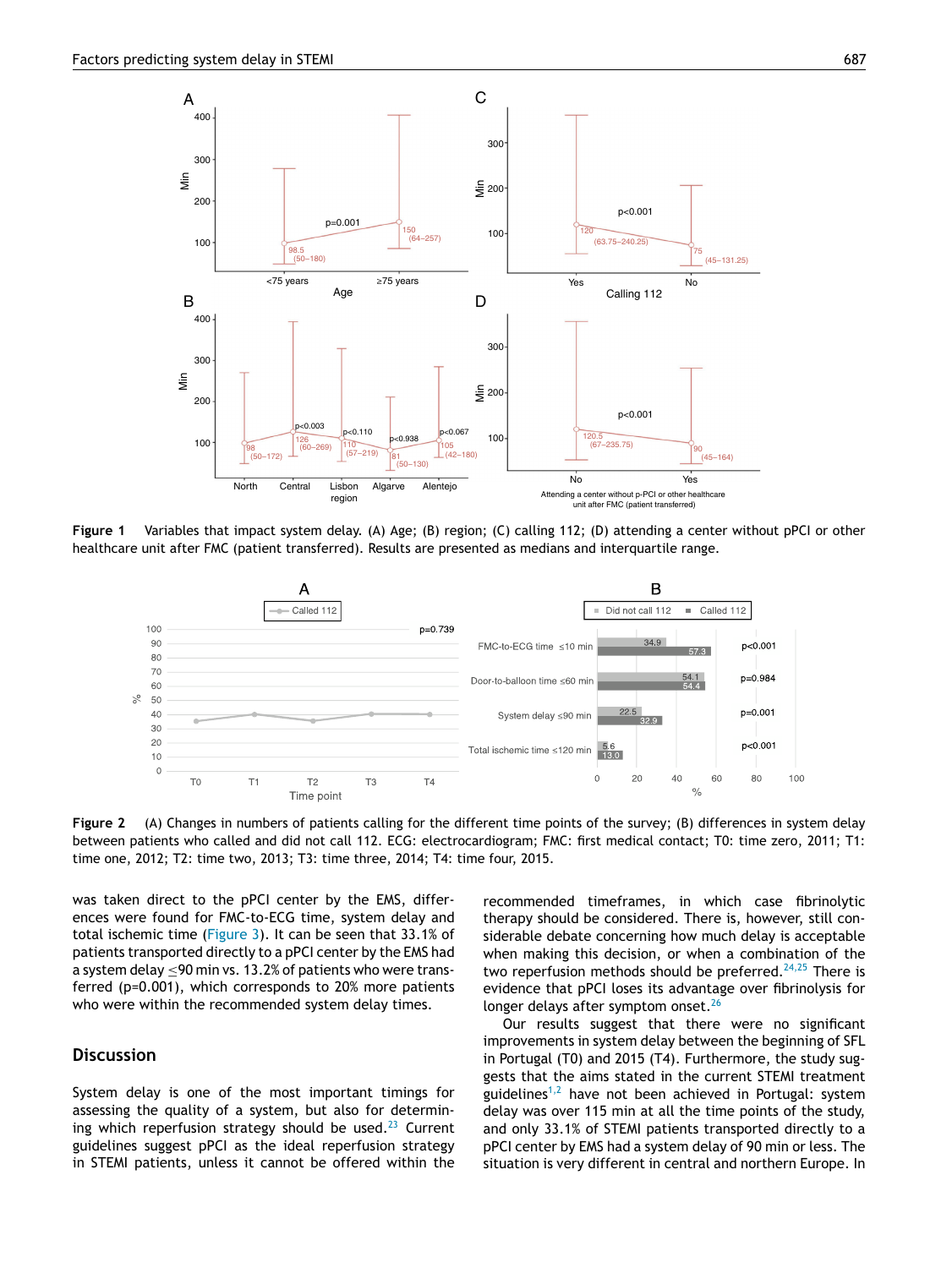

**Figure 1** Variables that impact system delay. (A) Age; (B) region; (C) calling 112; (D) attending a center without pPCI or other healthcare unit after FMC (patient transferred). Results are presented as medians and interquartile range.



**Figure 2** (A) Changes in numbers of patients calling for the different time points of the survey; (B) differences in system delay between patients who called and did not call 112. ECG: electrocardiogram; FMC: first medical contact; T0: time zero, 2011; T1: time one, 2012; T2: time two, 2013; T3: time three, 2014; T4: time four, 2015.

was taken direct to the pPCI center by the EMS, differences were found for FMC-to-ECG time, system delay and total ischemic time (Figure 3). It can be seen that 33.1% of patients transported directly to a pPCI center by the EMS had a system delay ≤90 min vs. 13.2% of patients who were transferred (p=0.001), which corresponds to 20% more patients who were within the recommended system delay times.

## **Discussion**

System delay is one of the most important timings for assessing the quality of a system, but also for determining which reperfusion strategy should be used.<sup>23</sup> Current guidelines suggest pPCI as the ideal reperfusion strategy in STEMI patients, unless it cannot be offered within the recommended timeframes, in which case fibrinolytic therapy should be considered. There is, however, still considerable debate concerning how much delay is acceptable when making this decision, or when a combination of the two reperfusion methods should be preferred. $24,25$  There is evidence that pPCI loses its advantage over fibrinolysis for longer delays after symptom onset. $^{26}$ 

Our results suggest that there were no significant improvements in system delay between the beginning of SFL in Portugal (T0) and 2015 (T4). Furthermore, the study suggests that the aims stated in the current STEMI treatment guidelines<sup>1,2</sup> have not been achieved in Portugal: system delay was over 115 min at all the time points of the study, and only 33.1% of STEMI patients transported directly to a pPCI center by EMS had a system delay of 90 min or less. The situation is very different in central and northern Europe. In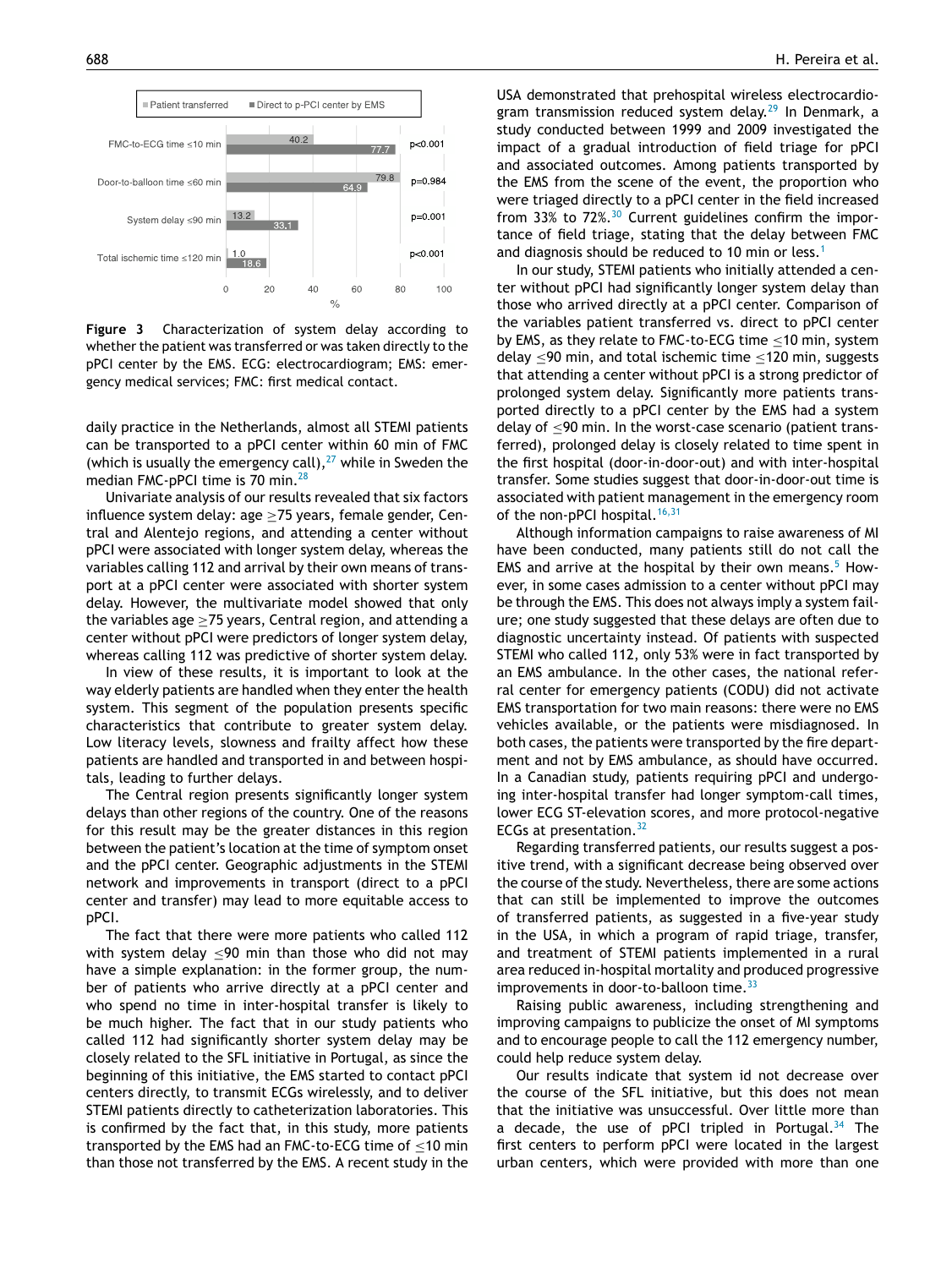777 79.8 p=0.984 Door-to-balloon time ≤60 min  $649$  $p=0.001$ System delay ≤90 min  $331$ p<0.001 Total ischemic time ≤120 min  $186$  $\Omega$ 20  $40$ 60 80 100  $O/2$ **Figure 3** Characterization of system delay according to

whether the patient was transferred or was taken directly to the pPCI center by the EMS. ECG: electrocardiogram; EMS: emergency medical services; FMC: first medical contact.

daily practice in the Netherlands, almost all STEMI patients can be transported to a pPCI center within 60 min of FMC (which is usually the emergency call), $^{27}$  while in Sweden the median FMC-pPCI time is 70 min.<sup>28</sup>

Univariate analysis of our results revealed that six factors influence system delay: age ≥75 years, female gender, Central and Alentejo regions, and attending a center without pPCI were associated with longer system delay, whereas the variables calling 112 and arrival by their own means of transport at a pPCI center were associated with shorter system delay. However, the multivariate model showed that only the variables age  $\geq$ 75 years, Central region, and attending a center without pPCI were predictors of longer system delay, whereas calling 112 was predictive of shorter system delay.

In view of these results, it is important to look at the way elderly patients are handled when they enter the health system. This segment of the population presents specific characteristics that contribute to greater system delay. Low literacy levels, slowness and frailty affect how these patients are handled and transported in and between hospitals, leading to further delays.

The Central region presents significantly longer system delays than other regions of the country. One of the reasons for this result may be the greater distances in this region between the patient's location at the time of symptom onset and the pPCI center. Geographic adjustments in the STEMI network and improvements in transport (direct to a pPCI center and transfer) may lead to more equitable access to pPCI.

The fact that there were more patients who called 112 with system delay  $\leq 90$  min than those who did not may have a simple explanation: in the former group, the number of patients who arrive directly at a pPCI center and who spend no time in inter-hospital transfer is likely to be much higher. The fact that in our study patients who called 112 had significantly shorter system delay may be closely related to the SFL initiative in Portugal, as since the beginning of this initiative, the EMS started to contact pPCI centers directly, to transmit ECGs wirelessly, and to deliver STEMI patients directly to catheterization laboratories. This is confirmed by the fact that, in this study, more patients transported by the EMS had an FMC-to-ECG time of ≤10 min than those not transferred by the EMS. A recent study in the USA demonstrated that prehospital wireless electrocardiogram transmission reduced system delay.<sup>29</sup> In Denmark, a study conducted between 1999 and 2009 investigated the impact of a gradual introduction of field triage for pPCI and associated outcomes. Among patients transported by the EMS from the scene of the event, the proportion who were triaged directly to a pPCI center in the field increased from 33% to  $72\%$ .<sup>30</sup> Current guidelines confirm the importance of field triage, stating that the delay between FMC and diagnosis should be reduced to 10 min or less.<sup>1</sup>

In our study, STEMI patients who initially attended a center without pPCI had significantly longer system delay than those who arrived directly at a pPCI center. Comparison of the variables patient transferred vs. direct to pPCI center by EMS, as they relate to FMC-to-ECG time  $\leq$ 10 min, system delay ≤90 min, and total ischemic time ≤120 min, suggests that attending a center without pPCI is a strong predictor of prolonged system delay. Significantly more patients transported directly to a pPCI center by the EMS had a system delay of ≤90 min. In the worst-case scenario (patient transferred), prolonged delay is closely related to time spent in the first hospital (door-in-door-out) and with inter-hospital transfer. Some studies suggest that door-in-door-out time is associated with patient management in the emergency room of the non-pPCI hospital.<sup>16,31</sup>

Although information campaigns to raise awareness of MI have been conducted, many patients still do not call the EMS and arrive at the hospital by their own means. $5$  However, in some cases admission to a center without pPCI may be through the EMS. This does not always imply a system failure; one study suggested that these delays are often due to diagnostic uncertainty instead. Of patients with suspected STEMI who called 112, only 53% were in fact transported by an EMS ambulance. In the other cases, the national referral center for emergency patients (CODU) did not activate EMS transportation for two main reasons: there were no EMS vehicles available, or the patients were misdiagnosed. In both cases, the patients were transported by the fire department and not by EMS ambulance, as should have occurred. In a Canadian study, patients requiring pPCI and undergoing inter-hospital transfer had longer symptom-call times, lower ECG ST-elevation scores, and more protocol-negative ECGs at presentation. $32$ 

Regarding transferred patients, our results suggest a positive trend, with a significant decrease being observed over the course of the study. Nevertheless, there are some actions that can still be implemented to improve the outcomes of transferred patients, as suggested in a five-year study in the USA, in which a program of rapid triage, transfer, and treatment of STEMI patients implemented in a rural area reduced in-hospital mortality and produced progressive improvements in door-to-balloon time.<sup>33</sup>

Raising public awareness, including strengthening and improving campaigns to publicize the onset of MI symptoms and to encourage people to call the 112 emergency number, could help reduce system delay.

Our results indicate that system id not decrease over the course of the SFL initiative, but this does not mean that the initiative was unsuccessful. Over little more than a decade, the use of pPCI tripled in Portugal. $34$  The first centers to perform pPCI were located in the largest urban centers, which were provided with more than one

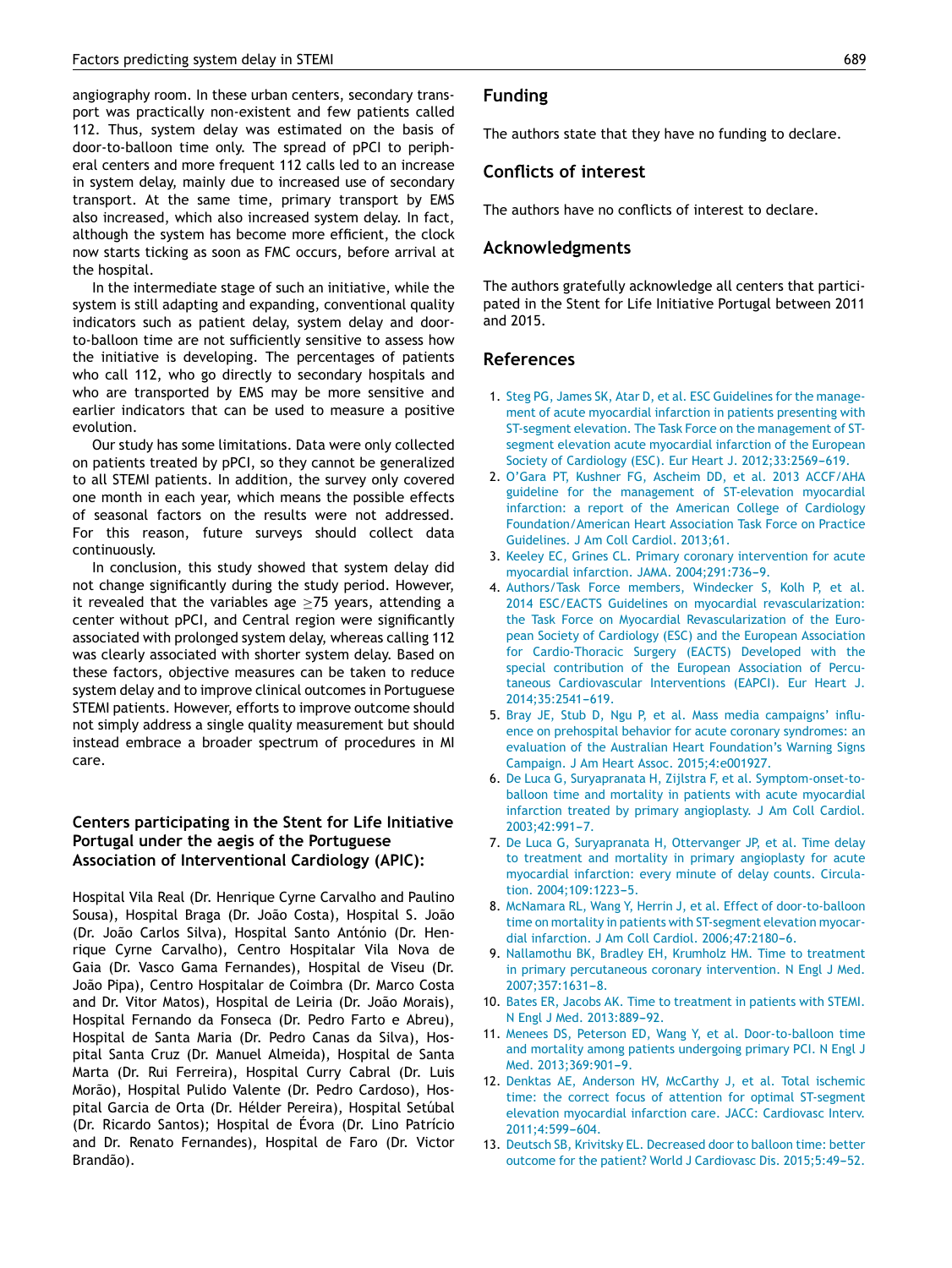angiography room. In these urban centers, secondary transport was practically non-existent and few patients called 112. Thus, system delay was estimated on the basis of door-to-balloon time only. The spread of pPCI to peripheral centers and more frequent 112 calls led to an increase in system delay, mainly due to increased use of secondary transport. At the same time, primary transport by EMS also increased, which also increased system delay. In fact, although the system has become more efficient, the clock now starts ticking as soon as FMC occurs, before arrival at the hospital.

In the intermediate stage of such an initiative, while the system is still adapting and expanding, conventional quality indicators such as patient delay, system delay and doorto-balloon time are not sufficiently sensitive to assess how the initiative is developing. The percentages of patients who call 112, who go directly to secondary hospitals and who are transported by EMS may be more sensitive and earlier indicators that can be used to measure a positive evolution.

Our study has some limitations. Data were only collected on patients treated by pPCI, so they cannot be generalized to all STEMI patients. In addition, the survey only covered one month in each year, which means the possible effects of seasonal factors on the results were not addressed. For this reason, future surveys should collect data continuously.

In conclusion, this study showed that system delay did not change significantly during the study period. However, it revealed that the variables age  $\geq$ 75 years, attending a center without pPCI, and Central region were significantly associated with prolonged system delay, whereas calling 112 was clearly associated with shorter system delay. Based on these factors, objective measures can be taken to reduce system delay and to improve clinical outcomes in Portuguese STEMI patients. However, efforts to improve outcome should not simply address a single quality measurement but should instead embrace a broader spectrum of procedures in MI care.

## **Centers participating in the Stent for Life Initiative Portugal under the aegis of the Portuguese Association of Interventional Cardiology (APIC):**

Hospital Vila Real (Dr. Henrique Cyrne Carvalho and Paulino Sousa), Hospital Braga (Dr. João Costa), Hospital S. João (Dr. João Carlos Silva), Hospital Santo António (Dr. Henrique Cyrne Carvalho), Centro Hospitalar Vila Nova de Gaia (Dr. Vasco Gama Fernandes), Hospital de Viseu (Dr. João Pipa), Centro Hospitalar de Coimbra (Dr. Marco Costa and Dr. Vitor Matos), Hospital de Leiria (Dr. João Morais), Hospital Fernando da Fonseca (Dr. Pedro Farto e Abreu), Hospital de Santa Maria (Dr. Pedro Canas da Silva), Hospital Santa Cruz (Dr. Manuel Almeida), Hospital de Santa Marta (Dr. Rui Ferreira), Hospital Curry Cabral (Dr. Luis Morão), Hospital Pulido Valente (Dr. Pedro Cardoso), Hospital Garcia de Orta (Dr. Hélder Pereira), Hospital Setúbal (Dr. Ricardo Santos); Hospital de Évora (Dr. Lino Patrício and Dr. Renato Fernandes), Hospital de Faro (Dr. Victor Brandão).

## **Funding**

The authors state that they have no funding to declare.

## **Conflicts of interest**

The authors have no conflicts of interest to declare.

## **Acknowledgments**

The authors gratefully acknowledge all centers that participated in the Stent for Life Initiative Portugal between 2011 and 2015.

## **References**

- 1. Steg PG, James SK, Atar D, et al. ESC Guidelines for the management of acute myocardial infarction in patients presenting with ST-segment elevation. The Task Force on the management of STsegment elevation acute myocardial infarction of the European Society of Cardiology (ESC). Eur Heart J. 2012;33:2569-619.
- 2. O'Gara PT, Kushner FG, Ascheim DD, et al. 2013 ACCF/AHA guideline for the management of ST-elevation myocardial infarction: a report of the American College of Cardiology Foundation/American Heart Association Task Force on Practice Guidelines. J Am Coll Cardiol. 2013;61.
- 3. Keeley EC, Grines CL. Primary coronary intervention for acute myocardial infarction. JAMA. 2004;291:736-9.
- 4. Authors/Task Force members, Windecker S, Kolh P, et al. 2014 ESC/EACTS Guidelines on myocardial revascularization: the Task Force on Myocardial Revascularization of the European Society of Cardiology (ESC) and the European Association for Cardio-Thoracic Surgery (EACTS) Developed with the special contribution of the European Association of Percutaneous Cardiovascular Interventions (EAPCI). Eur Heart J. 2014:35:2541-619.
- 5. Bray JE, Stub D, Ngu P, et al. Mass media campaigns' influence on prehospital behavior for acute coronary syndromes: an evaluation of the Australian Heart Foundation's Warning Signs Campaign. J Am Heart Assoc. 2015;4:e001927.
- 6. De Luca G, Suryapranata H, Zijlstra F, et al. Symptom-onset-toballoon time and mortality in patients with acute myocardial infarction treated by primary angioplasty. J Am Coll Cardiol. 2003;42:991-7.
- 7. De Luca G, Suryapranata H, Ottervanger JP, et al. Time delay to treatment and mortality in primary angioplasty for acute myocardial infarction: every minute of delay counts. Circulation. 2004;109:1223-5.
- 8. McNamara RL, Wang Y, Herrin J, et al. Effect of door-to-balloon time on mortality in patients with ST-segment elevation myocardial infarction. J Am Coll Cardiol. 2006;47:2180-6.
- 9. Nallamothu BK, Bradley EH, Krumholz HM. Time to treatment in primary percutaneous coronary intervention. N Engl J Med.  $2007:357:1631 - 8$
- 10. Bates ER, Jacobs AK. Time to treatment in patients with STEMI. N Engl J Med. 2013:889-92.
- 11. Menees DS, Peterson ED, Wang Y, et al. Door-to-balloon time and mortality among patients undergoing primary PCI. N Engl J Med. 2013;369:901-9.
- 12. Denktas AE, Anderson HV, McCarthy J, et al. Total ischemic time: the correct focus of attention for optimal ST-segment elevation myocardial infarction care. JACC: Cardiovasc Interv. 2011:4:599-604.
- 13. Deutsch SB, Krivitsky EL. Decreased door to balloon time: better outcome for the patient? World J Cardiovasc Dis. 2015;5:49-52.